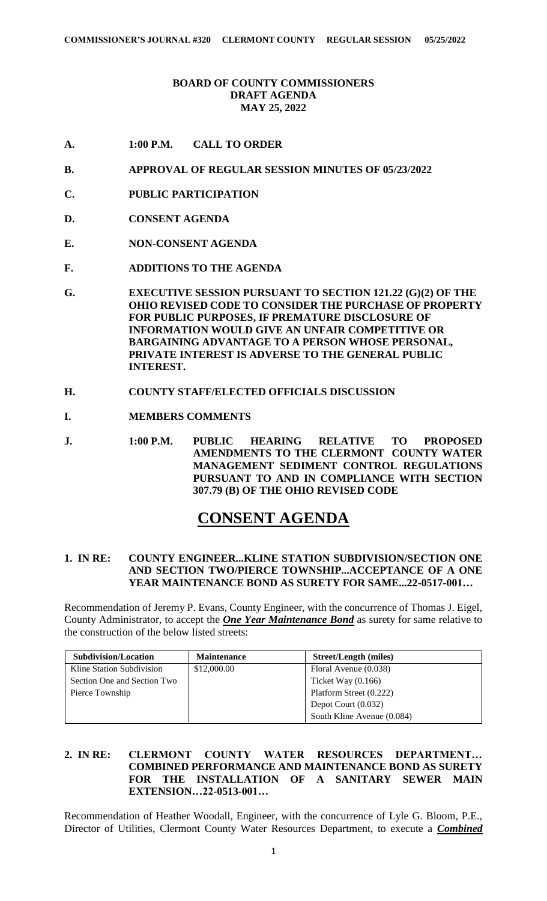# **BOARD OF COUNTY COMMISSIONERS DRAFT AGENDA MAY 25, 2022**

- **A. 1:00 P.M. CALL TO ORDER**
- **B. APPROVAL OF REGULAR SESSION MINUTES OF 05/23/2022**
- **C. PUBLIC PARTICIPATION**
- **D. CONSENT AGENDA**
- **E. NON-CONSENT AGENDA**
- **F. ADDITIONS TO THE AGENDA**
- **G. EXECUTIVE SESSION PURSUANT TO SECTION 121.22 (G)(2) OF THE OHIO REVISED CODE TO CONSIDER THE PURCHASE OF PROPERTY FOR PUBLIC PURPOSES, IF PREMATURE DISCLOSURE OF INFORMATION WOULD GIVE AN UNFAIR COMPETITIVE OR BARGAINING ADVANTAGE TO A PERSON WHOSE PERSONAL, PRIVATE INTEREST IS ADVERSE TO THE GENERAL PUBLIC INTEREST.**
- **H. COUNTY STAFF/ELECTED OFFICIALS DISCUSSION**
- **I. MEMBERS COMMENTS**
- **J. 1:00 P.M. PUBLIC HEARING RELATIVE TO PROPOSED AMENDMENTS TO THE CLERMONT COUNTY WATER MANAGEMENT SEDIMENT CONTROL REGULATIONS PURSUANT TO AND IN COMPLIANCE WITH SECTION 307.79 (B) OF THE OHIO REVISED CODE**

# **CONSENT AGENDA**

#### **1. IN RE: COUNTY ENGINEER...KLINE STATION SUBDIVISION/SECTION ONE AND SECTION TWO/PIERCE TOWNSHIP...ACCEPTANCE OF A ONE YEAR MAINTENANCE BOND AS SURETY FOR SAME...22-0517-001…**

Recommendation of Jeremy P. Evans, County Engineer, with the concurrence of Thomas J. Eigel, County Administrator, to accept the *One Year Maintenance Bond* as surety for same relative to the construction of the below listed streets:

| Subdivision/Location        | <b>Maintenance</b> | <b>Street/Length (miles)</b> |
|-----------------------------|--------------------|------------------------------|
| Kline Station Subdivision   | \$12,000.00        | Floral Avenue (0.038)        |
| Section One and Section Two |                    | Ticket Way $(0.166)$         |
| Pierce Township             |                    | Platform Street (0.222)      |
|                             |                    | Depot Court $(0.032)$        |
|                             |                    | South Kline Avenue (0.084)   |

# **2. IN RE: CLERMONT COUNTY WATER RESOURCES DEPARTMENT… COMBINED PERFORMANCE AND MAINTENANCE BOND AS SURETY FOR THE INSTALLATION OF A SANITARY SEWER MAIN EXTENSION…22-0513-001…**

Recommendation of Heather Woodall, Engineer, with the concurrence of Lyle G. Bloom, P.E., Director of Utilities, Clermont County Water Resources Department, to execute a *Combined*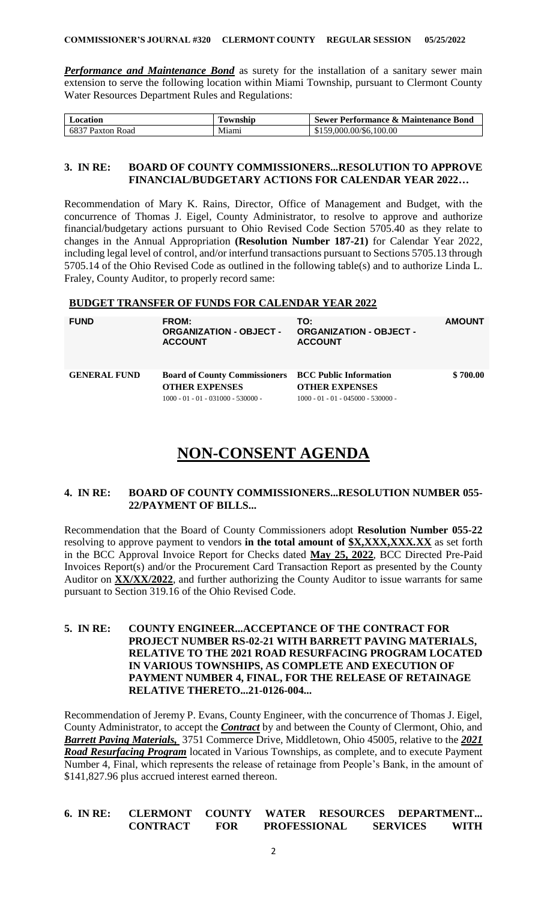**Performance and Maintenance Bond** as surety for the installation of a sanitary sewer main extension to serve the following location within Miami Township, pursuant to Clermont County Water Resources Department Rules and Regulations:

| ocation                       | ownship | Sewer Performance & Maintenance Bond |
|-------------------------------|---------|--------------------------------------|
| 6837<br><b>Road</b><br>Paxton | Miami   | .000.00/\$6.100.00                   |

#### **3. IN RE: BOARD OF COUNTY COMMISSIONERS...RESOLUTION TO APPROVE FINANCIAL/BUDGETARY ACTIONS FOR CALENDAR YEAR 2022…**

Recommendation of Mary K. Rains, Director, Office of Management and Budget, with the concurrence of Thomas J. Eigel, County Administrator, to resolve to approve and authorize financial/budgetary actions pursuant to Ohio Revised Code Section 5705.40 as they relate to changes in the Annual Appropriation **(Resolution Number 187-21)** for Calendar Year 2022, including legal level of control, and/or interfund transactions pursuant to Sections 5705.13 through 5705.14 of the Ohio Revised Code as outlined in the following table(s) and to authorize Linda L. Fraley, County Auditor, to properly record same:

# **BUDGET TRANSFER OF FUNDS FOR CALENDAR YEAR 2022**

| <b>FUND</b>         | FROM:<br><b>ORGANIZATION - OBJECT -</b><br><b>ACCOUNT</b>                                                                    | TO:<br><b>ORGANIZATION - OBJECT -</b><br><b>ACCOUNT</b>       | <b>AMOUNT</b> |
|---------------------|------------------------------------------------------------------------------------------------------------------------------|---------------------------------------------------------------|---------------|
| <b>GENERAL FUND</b> | <b>Board of County Commissioners BCC Public Information</b><br><b>OTHER EXPENSES</b><br>$1000 - 01 - 01 - 031000 - 530000 -$ | <b>OTHER EXPENSES</b><br>$1000 - 01 - 01 - 045000 - 530000 -$ | \$700.00      |

# **NON-CONSENT AGENDA**

#### **4. IN RE: BOARD OF COUNTY COMMISSIONERS...RESOLUTION NUMBER 055- 22/PAYMENT OF BILLS...**

Recommendation that the Board of County Commissioners adopt **Resolution Number 055-22** resolving to approve payment to vendors **in the total amount of \$X,XXX,XXX***.***XX** as set forth in the BCC Approval Invoice Report for Checks dated **May 25, 2022**, BCC Directed Pre-Paid Invoices Report(s) and/or the Procurement Card Transaction Report as presented by the County Auditor on **XX/XX/2022**, and further authorizing the County Auditor to issue warrants for same pursuant to Section 319.16 of the Ohio Revised Code.

# **5. IN RE: COUNTY ENGINEER...ACCEPTANCE OF THE CONTRACT FOR PROJECT NUMBER RS-02-21 WITH BARRETT PAVING MATERIALS, RELATIVE TO THE 2021 ROAD RESURFACING PROGRAM LOCATED IN VARIOUS TOWNSHIPS, AS COMPLETE AND EXECUTION OF PAYMENT NUMBER 4, FINAL, FOR THE RELEASE OF RETAINAGE RELATIVE THERETO...21-0126-004...**

Recommendation of Jeremy P. Evans, County Engineer, with the concurrence of Thomas J. Eigel, County Administrator, to accept the *Contract* by and between the County of Clermont, Ohio, and *Barrett Paving Materials,* 3751 Commerce Drive, Middletown, Ohio 45005, relative to the *2021 Road Resurfacing Program* located in Various Townships, as complete, and to execute Payment Number 4, Final, which represents the release of retainage from People's Bank, in the amount of \$141,827.96 plus accrued interest earned thereon.

| 6. IN RE: | <b>CLERMONT</b> | COUNTY | <b>WATER</b>        | <b>RESOURCES</b> |                 | <b>DEPARTMENT</b> |
|-----------|-----------------|--------|---------------------|------------------|-----------------|-------------------|
|           | <b>CONTRACT</b> | FOR    | <b>PROFESSIONAL</b> |                  | <b>SERVICES</b> | WITH              |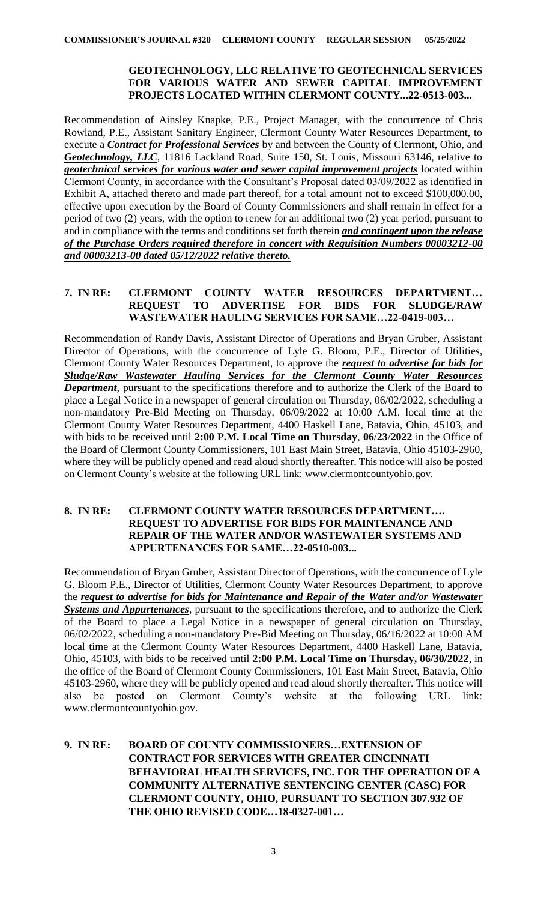# **GEOTECHNOLOGY, LLC RELATIVE TO GEOTECHNICAL SERVICES FOR VARIOUS WATER AND SEWER CAPITAL IMPROVEMENT PROJECTS LOCATED WITHIN CLERMONT COUNTY...22-0513-003...**

Recommendation of Ainsley Knapke, P.E., Project Manager, with the concurrence of Chris Rowland, P.E., Assistant Sanitary Engineer, Clermont County Water Resources Department, to execute a *Contract for Professional Services* by and between the County of Clermont, Ohio, and *Geotechnology, LLC*, 11816 Lackland Road, Suite 150, St. Louis, Missouri 63146, relative to *geotechnical services for various water and sewer capital improvement projects* located within Clermont County, in accordance with the Consultant's Proposal dated 03/09/2022 as identified in Exhibit A, attached thereto and made part thereof, for a total amount not to exceed \$100,000.00, effective upon execution by the Board of County Commissioners and shall remain in effect for a period of two (2) years, with the option to renew for an additional two (2) year period, pursuant to and in compliance with the terms and conditions set forth therein *and contingent upon the release of the Purchase Orders required therefore in concert with Requisition Numbers 00003212-00 and 00003213-00 dated 05/12/2022 relative thereto.*

# **7. IN RE: CLERMONT COUNTY WATER RESOURCES DEPARTMENT… REQUEST TO ADVERTISE FOR BIDS FOR SLUDGE/RAW WASTEWATER HAULING SERVICES FOR SAME…22-0419-003…**

Recommendation of Randy Davis, Assistant Director of Operations and Bryan Gruber, Assistant Director of Operations, with the concurrence of Lyle G. Bloom, P.E., Director of Utilities, Clermont County Water Resources Department, to approve the *request to advertise for bids for Sludge/Raw Wastewater Hauling Services for the Clermont County Water Resources Department*, pursuant to the specifications therefore and to authorize the Clerk of the Board to place a Legal Notice in a newspaper of general circulation on Thursday, 06/02/2022, scheduling a non-mandatory Pre-Bid Meeting on Thursday, 06/09/2022 at 10:00 A.M. local time at the Clermont County Water Resources Department, 4400 Haskell Lane, Batavia, Ohio, 45103, and with bids to be received until **2:00 P.M. Local Time on Thursday**, **06**/**23**/**2022** in the Office of the Board of Clermont County Commissioners, 101 East Main Street, Batavia, Ohio 45103-2960, where they will be publicly opened and read aloud shortly thereafter. This notice will also be posted on Clermont County's website at the following URL link: www.clermontcountyohio.gov.

# **8. IN RE: CLERMONT COUNTY WATER RESOURCES DEPARTMENT…. REQUEST TO ADVERTISE FOR BIDS FOR MAINTENANCE AND REPAIR OF THE WATER AND/OR WASTEWATER SYSTEMS AND APPURTENANCES FOR SAME…22-0510-003...**

Recommendation of Bryan Gruber, Assistant Director of Operations, with the concurrence of Lyle G. Bloom P.E., Director of Utilities, Clermont County Water Resources Department, to approve the *request to advertise for bids for Maintenance and Repair of the Water and/or Wastewater Systems and Appurtenances*, pursuant to the specifications therefore, and to authorize the Clerk of the Board to place a Legal Notice in a newspaper of general circulation on Thursday, 06/02/2022, scheduling a non-mandatory Pre-Bid Meeting on Thursday, 06/16/2022 at 10:00 AM local time at the Clermont County Water Resources Department, 4400 Haskell Lane, Batavia, Ohio, 45103, with bids to be received until **2:00 P.M. Local Time on Thursday, 06/30/2022**, in the office of the Board of Clermont County Commissioners, 101 East Main Street, Batavia, Ohio 45103-2960, where they will be publicly opened and read aloud shortly thereafter. This notice will also be posted on Clermont County's website at the following URL link: www.clermontcountyohio.gov.

# **9. IN RE: BOARD OF COUNTY COMMISSIONERS…EXTENSION OF CONTRACT FOR SERVICES WITH GREATER CINCINNATI BEHAVIORAL HEALTH SERVICES, INC. FOR THE OPERATION OF A COMMUNITY ALTERNATIVE SENTENCING CENTER (CASC) FOR CLERMONT COUNTY, OHIO, PURSUANT TO SECTION 307.932 OF THE OHIO REVISED CODE…18-0327-001…**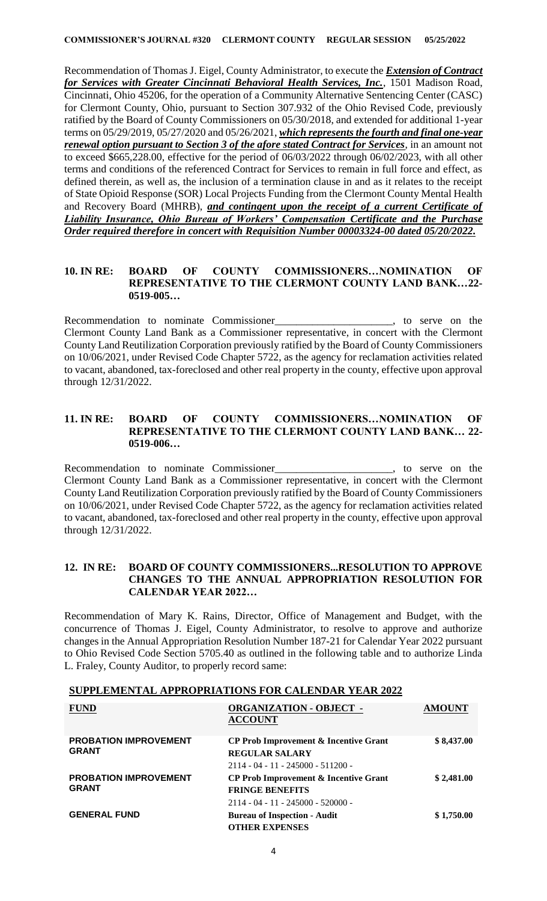Recommendation of Thomas J. Eigel, County Administrator, to execute the *Extension of Contract for Services with Greater Cincinnati Behavioral Health Services, Inc.*, 1501 Madison Road, Cincinnati, Ohio 45206, for the operation of a Community Alternative Sentencing Center (CASC) for Clermont County, Ohio, pursuant to Section 307.932 of the Ohio Revised Code, previously ratified by the Board of County Commissioners on 05/30/2018, and extended for additional 1-year terms on 05/29/2019, 05/27/2020 and 05/26/2021, *which represents the fourth and final one-year renewal option pursuant to Section 3 of the afore stated Contract for Services*, in an amount not to exceed \$665,228.00, effective for the period of 06/03/2022 through 06/02/2023, with all other terms and conditions of the referenced Contract for Services to remain in full force and effect, as defined therein, as well as, the inclusion of a termination clause in and as it relates to the receipt of State Opioid Response (SOR) Local Projects Funding from the Clermont County Mental Health and Recovery Board (MHRB), *and contingent upon the receipt of a current Certificate of Liability Insurance, Ohio Bureau of Workers' Compensation Certificate and the Purchase Order required therefore in concert with Requisition Number 00003324-00 dated 05/20/2022.*

#### **10. IN RE: BOARD OF COUNTY COMMISSIONERS…NOMINATION OF REPRESENTATIVE TO THE CLERMONT COUNTY LAND BANK…22- 0519-005…**

Recommendation to nominate Commissioner\_\_\_\_\_\_\_\_\_\_\_\_\_\_\_\_\_\_\_\_\_\_, to serve on the Clermont County Land Bank as a Commissioner representative, in concert with the Clermont County Land Reutilization Corporation previously ratified by the Board of County Commissioners on 10/06/2021, under Revised Code Chapter 5722, as the agency for reclamation activities related to vacant, abandoned, tax-foreclosed and other real property in the county, effective upon approval through 12/31/2022.

#### **11. IN RE: BOARD OF COUNTY COMMISSIONERS…NOMINATION OF REPRESENTATIVE TO THE CLERMONT COUNTY LAND BANK… 22- 0519-006…**

Recommendation to nominate Commissioner\_\_\_\_\_\_\_\_\_\_\_\_\_\_\_\_\_\_\_\_\_\_, to serve on the Clermont County Land Bank as a Commissioner representative, in concert with the Clermont County Land Reutilization Corporation previously ratified by the Board of County Commissioners on 10/06/2021, under Revised Code Chapter 5722, as the agency for reclamation activities related to vacant, abandoned, tax-foreclosed and other real property in the county, effective upon approval through 12/31/2022.

#### **12. IN RE: BOARD OF COUNTY COMMISSIONERS...RESOLUTION TO APPROVE CHANGES TO THE ANNUAL APPROPRIATION RESOLUTION FOR CALENDAR YEAR 2022…**

Recommendation of Mary K. Rains, Director, Office of Management and Budget, with the concurrence of Thomas J. Eigel, County Administrator, to resolve to approve and authorize changes in the Annual Appropriation Resolution Number 187-21 for Calendar Year 2022 pursuant to Ohio Revised Code Section 5705.40 as outlined in the following table and to authorize Linda L. Fraley, County Auditor, to properly record same:

| <b>FUND</b>                                  | <b>ORGANIZATION - OBJECT -</b><br><b>ACCOUNT</b>                              | <b>AMOUNT</b> |  |
|----------------------------------------------|-------------------------------------------------------------------------------|---------------|--|
| <b>PROBATION IMPROVEMENT</b><br><b>GRANT</b> | CP Prob Improvement & Incentive Grant<br><b>REGULAR SALARY</b>                | \$8,437.00    |  |
|                                              | $2114 - 04 - 11 - 245000 - 511200 -$                                          |               |  |
| <b>PROBATION IMPROVEMENT</b><br><b>GRANT</b> | \$2,481.00<br>CP Prob Improvement & Incentive Grant<br><b>FRINGE BENEFITS</b> |               |  |
| <b>GENERAL FUND</b>                          | $2114 - 04 - 11 - 245000 - 520000 -$<br><b>Bureau of Inspection - Audit</b>   | \$1,750.00    |  |
|                                              | <b>OTHER EXPENSES</b>                                                         |               |  |

# **SUPPLEMENTAL APPROPRIATIONS FOR CALENDAR YEAR 2022**